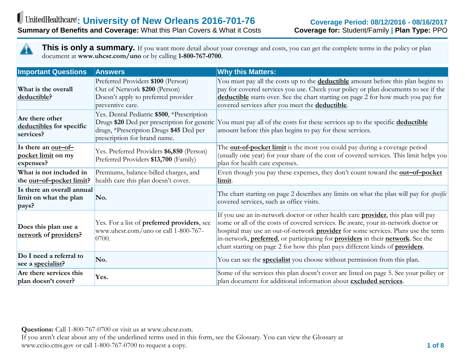A

**This is only a summary.** If you want more detail about your coverage and costs, you can get the complete terms in the policy or plan document at **www.uhcsr.com/uno** or by calling **1-800-767-0700**.

| <b>Important Questions</b>                                    | <b>Answers</b>                                                                                                                                                       | <b>Why this Matters:</b>                                                                                                                                                                                                                                                                                                                                                                                                                                                      |
|---------------------------------------------------------------|----------------------------------------------------------------------------------------------------------------------------------------------------------------------|-------------------------------------------------------------------------------------------------------------------------------------------------------------------------------------------------------------------------------------------------------------------------------------------------------------------------------------------------------------------------------------------------------------------------------------------------------------------------------|
| What is the overall<br>deductible?                            | Preferred Providers \$100 (Person)<br>Out of Network \$200 (Person)<br>Doesn't apply to preferred provider<br>preventive care.                                       | You must pay all the costs up to the <b>deductible</b> amount before this plan begins to<br>pay for covered services you use. Check your policy or plan documents to see if the<br>deductible starts over. See the chart starting on page 2 for how much you pay for<br>covered services after you meet the <b>deductible</b> .                                                                                                                                               |
| Are there other<br>deductibles for specific<br>services?      | Yes. Dental Pediatric \$500, *Prescription<br>Drugs \$20 Ded per prescription for generic<br>drugs, *Prescription Drugs \$45 Ded per<br>prescription for brand name. | You must pay all of the costs for these services up to the specific deductible<br>amount before this plan begins to pay for these services.                                                                                                                                                                                                                                                                                                                                   |
| Is there an out-of-<br>pocket limit on my<br>expenses?        | Yes. Preferred Providers \$6,850 (Person)<br>Preferred Providers \$13,700 (Family)                                                                                   | The <b>out-of-pocket limit</b> is the most you could pay during a coverage period<br>(usually one year) for your share of the cost of covered services. This limit helps you<br>plan for health care expenses.                                                                                                                                                                                                                                                                |
| What is not included in<br>the <u>out-of-pocket limit</u> ?   | Premiums, balance-billed charges, and<br>health care this plan doesn't cover.                                                                                        | Even though you pay these expenses, they don't count toward the <b>out-of-pocket</b><br>limit.                                                                                                                                                                                                                                                                                                                                                                                |
| Is there an overall annual<br>limit on what the plan<br>pays? | No.                                                                                                                                                                  | The chart starting on page 2 describes any limits on what the plan will pay for <i>specific</i><br>covered services, such as office visits.                                                                                                                                                                                                                                                                                                                                   |
| Does this plan use a<br>network of providers?                 | Yes. For a list of preferred providers, see<br>www.uhcsr.com/uno or call 1-800-767-<br>0700.                                                                         | If you use an in-network doctor or other health care <b>provider</b> , this plan will pay<br>some or all of the costs of covered services. Be aware, your in-network doctor or<br>hospital may use an out-of-network <b>provider</b> for some services. Plans use the term<br>in-network, <b>preferred</b> , or participating for <b>providers</b> in their <b>network</b> . See the<br>chart starting on page 2 for how this plan pays different kinds of <b>providers</b> . |
| Do I need a referral to<br>see a specialist?                  | No.                                                                                                                                                                  | You can see the <b>specialist</b> you choose without permission from this plan.                                                                                                                                                                                                                                                                                                                                                                                               |
| Are there services this<br>plan doesn't cover?                | Yes.                                                                                                                                                                 | Some of the services this plan doesn't cover are listed on page 5. See your policy or<br>plan document for additional information about excluded services.                                                                                                                                                                                                                                                                                                                    |

**Questions:** Call 1-800-767-0700 or visit us at www.uhcsr.com.

If you aren't clear about any of the underlined terms used in this form, see the Glossary. You can view the Glossary at www.cciio.cms.gov or call 1-800-767-0700 to request a copy. **1 of 8**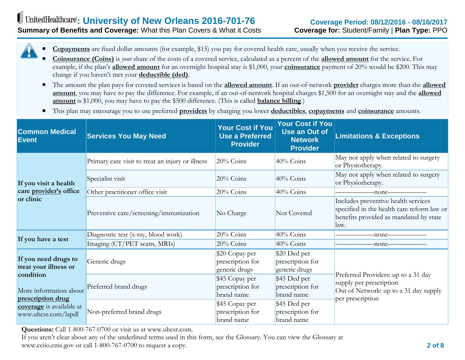

- **Coinsurance (Coins)** is *your* share of the costs of a covered service, calculated as a percent of the **allowed amount** for the service. For example, if the plan's **allowed amount** for an overnight hospital stay is \$1,000, your **coinsurance** payment of 20% would be \$200. This may change if you haven't met your **deductible (ded)**.
- The amount the plan pays for covered services is based on the **allowed amount**. If an out-of-network **provider** charges more than the **allowed amount**, you may have to pay the difference. For example, if an out-of-network hospital charges \$1,500 for an overnight stay and the **allowed amount** is \$1,000, you may have to pay the \$500 difference. (This is called **balance billing**.)
- This plan may encourage you to use preferred **providers** by charging you lower **deductibles**, **copayments** and **coinsurance** amounts.

| <b>Common Medical</b><br>Event                                                                              | <b>Services You May Need</b>                     | <b>Your Cost if You</b><br><b>Use a Preferred</b><br><b>Provider</b> | <b>Your Cost if You</b><br><b>Use an Out of</b><br><b>Network</b><br><b>Provider</b> | <b>Limitations &amp; Exceptions</b>                                                                                                 |
|-------------------------------------------------------------------------------------------------------------|--------------------------------------------------|----------------------------------------------------------------------|--------------------------------------------------------------------------------------|-------------------------------------------------------------------------------------------------------------------------------------|
| If you visit a health<br>care provider's office<br>or clinic                                                | Primary care visit to treat an injury or illness | $20%$ Coins                                                          | 40% Coins                                                                            | May not apply when related to surgery<br>or Physiotherapy.                                                                          |
|                                                                                                             | Specialist visit                                 | $20\%$ Coins                                                         | 40% Coins                                                                            | May not apply when related to surgery<br>or Physiotherapy.                                                                          |
|                                                                                                             | Other practitioner office visit                  | $20\%$ Coins                                                         | $40\%$ Coins                                                                         | -none-                                                                                                                              |
|                                                                                                             | Preventive care/screening/immunization           | No Charge                                                            | Not Covered                                                                          | Includes preventive health services<br>specified in the health care reform law or<br>benefits provided as mandated by state<br>law. |
| If you have a test                                                                                          | Diagnostic test (x-ray, blood work)              | 20% Coins                                                            | 40% Coins                                                                            | -none-                                                                                                                              |
|                                                                                                             | Imaging (CT/PET scans, MRIs)                     | $20%$ Coins                                                          | $40\%$ Coins                                                                         | -none-                                                                                                                              |
| If you need drugs to<br>treat your illness or                                                               | Generic drugs                                    | \$20 Copay per<br>prescription for<br>generic drugs                  | \$20 Ded per<br>prescription for<br>generic drugs                                    |                                                                                                                                     |
| condition<br>More information about<br>prescription drug<br>coverage is available at<br>www.uhcsr.com/lapdl | Preferred brand drugs                            | \$45 Copay per<br>prescription for<br>brand name                     | \$45 Ded per<br>prescription for<br>brand name                                       | Preferred Providers: up to a 31 day<br>supply per prescription<br>Out of Network: up to a 31 day supply<br>per prescription         |
|                                                                                                             | Non-preferred brand drugs                        | \$45 Copay per<br>prescription for<br>brand name                     | \$45 Ded per<br>prescription for<br>brand name                                       |                                                                                                                                     |

**Questions:** Call 1-800-767-0700 or visit us at www.uhcsr.com.

If you aren't clear about any of the underlined terms used in this form, see the Glossary. You can view the Glossary at www.cciio.cms.gov or call 1-800-767-0700 to request a copy. **2 of 8**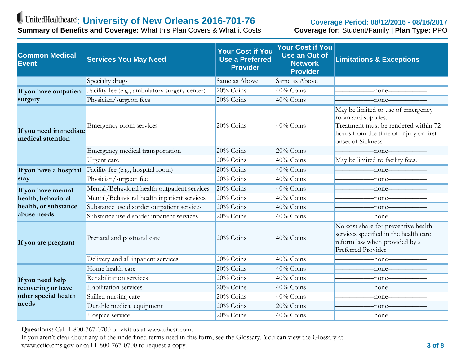# UnitedHealthcare: University of New Orleans 2016-701-76

**Summary of Benefits and Coverage:** What this Plan Covers & What it Costs

#### **Coverage Period: 08/12/2016 - 08/16/2017 Coverage for:** Student/Family **| Plan Type:** PPO

| <b>Common Medical</b><br>Event             | <b>Services You May Need</b>                                          | <b>Your Cost if You</b><br><b>Use a Preferred</b><br><b>Provider</b> | <b>Your Cost if You</b><br><b>Use an Out of</b><br><b>Network</b><br><b>Provider</b> | <b>Limitations &amp; Exceptions</b>                                                                                                                              |
|--------------------------------------------|-----------------------------------------------------------------------|----------------------------------------------------------------------|--------------------------------------------------------------------------------------|------------------------------------------------------------------------------------------------------------------------------------------------------------------|
|                                            | Specialty drugs                                                       | Same as Above                                                        | Same as Above                                                                        |                                                                                                                                                                  |
|                                            | If you have outpatient Facility fee (e.g., ambulatory surgery center) | 20% Coins                                                            | 40% Coins                                                                            | -none-                                                                                                                                                           |
| surgery                                    | Physician/surgeon fees                                                | $20%$ Coins                                                          | 40% Coins                                                                            | -none-                                                                                                                                                           |
| If you need immediate<br>medical attention | Emergency room services                                               | $20\%$ Coins                                                         | $40\%$ Coins                                                                         | May be limited to use of emergency<br>room and supplies.<br>Treatment must be rendered within 72<br>hours from the time of Injury or first<br>onset of Sickness. |
|                                            | Emergency medical transportation                                      | 20% Coins                                                            | 20% Coins                                                                            | -none-                                                                                                                                                           |
|                                            | Urgent care                                                           | 20% Coins                                                            | 40% Coins                                                                            | May be limited to facility fees.                                                                                                                                 |
| If you have a hospital                     | Facility fee (e.g., hospital room)                                    | 20% Coins                                                            | 40% Coins                                                                            | -none-                                                                                                                                                           |
| stay                                       | Physician/surgeon fee                                                 | $20%$ Coins                                                          | 40% Coins                                                                            | -none-                                                                                                                                                           |
| If you have mental                         | Mental/Behavioral health outpatient services                          | $20\%$ Coins                                                         | 40% Coins                                                                            | -none-                                                                                                                                                           |
| health, behavioral                         | Mental/Behavioral health inpatient services                           | 20% Coins                                                            | 40% Coins                                                                            | -none-                                                                                                                                                           |
| health, or substance                       | Substance use disorder outpatient services                            | 20% Coins                                                            | 40% Coins                                                                            | -none-                                                                                                                                                           |
| abuse needs                                | Substance use disorder inpatient services                             | 20% Coins                                                            | 40% Coins                                                                            | -none–                                                                                                                                                           |
| If you are pregnant                        | Prenatal and postnatal care                                           | $20%$ Coins                                                          | 40% Coins                                                                            | No cost share for preventive health<br>services specified in the health care<br>reform law when provided by a<br>Preferred Provider                              |
|                                            | Delivery and all inpatient services                                   | 20% Coins                                                            | 40% Coins                                                                            | -none—                                                                                                                                                           |
|                                            | Home health care                                                      | 20% Coins                                                            | 40% Coins                                                                            | -none-                                                                                                                                                           |
| If you need help                           | Rehabilitation services                                               | 20% Coins                                                            | 40% Coins                                                                            | -none—                                                                                                                                                           |
| recovering or have                         | Habilitation services                                                 | 20% Coins                                                            | 40% Coins                                                                            | -none—                                                                                                                                                           |
| other special health                       | Skilled nursing care                                                  | 20% Coins                                                            | 40% Coins                                                                            | -none—                                                                                                                                                           |
| needs                                      | Durable medical equipment                                             | $20%$ Coins                                                          | 20% Coins                                                                            | -none-                                                                                                                                                           |
|                                            | Hospice service                                                       | 20% Coins                                                            | 40% Coins                                                                            | -none—                                                                                                                                                           |

**Questions:** Call 1-800-767-0700 or visit us at www.uhcsr.com.

If you aren't clear about any of the underlined terms used in this form, see the Glossary. You can view the Glossary at www.cciio.cms.gov or call 1-800-767-0700 to request a copy. **3 of 8**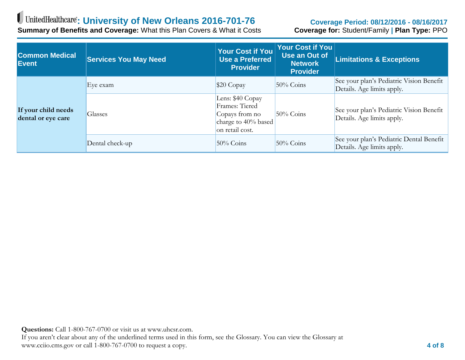# UnitedHealthcare: University of New Orleans 2016-701-76

**Summary of Benefits and Coverage:** What this Plan Covers & What it Costs

#### **Coverage Period: 08/12/2016 - 08/16/2017 Coverage for:** Student/Family **| Plan Type:** PPO

| <b>Common Medical</b><br>Event            | <b>Services You May Need</b> | Your Cost if You<br><b>Use a Preferred</b><br><b>Provider</b>                                  | Your Cost if You<br>Use an Out of<br><b>Network</b><br><b>Provider</b> | <b>Limitations &amp; Exceptions</b>                                    |
|-------------------------------------------|------------------------------|------------------------------------------------------------------------------------------------|------------------------------------------------------------------------|------------------------------------------------------------------------|
| If your child needs<br>dental or eye care | Eye exam                     | $$20$ Copay                                                                                    | $50\%$ Coins                                                           | See your plan's Pediatric Vision Benefit<br>Details. Age limits apply. |
|                                           | <b>Glasses</b>               | Lens: \$40 Copay<br>Frames: Tiered<br>Copays from no<br>charge to 40% based<br>on retail cost. | $50\%$ Coins                                                           | See your plan's Pediatric Vision Benefit<br>Details. Age limits apply. |
|                                           | Dental check-up              | $50\%$ Coins                                                                                   | $50\%$ Coins                                                           | See your plan's Pediatric Dental Benefit<br>Details. Age limits apply. |

**Questions:** Call 1-800-767-0700 or visit us at www.uhcsr.com.

If you aren't clear about any of the underlined terms used in this form, see the Glossary. You can view the Glossary at www.cciio.cms.gov or call 1-800-767-0700 to request a copy. **4 of 8**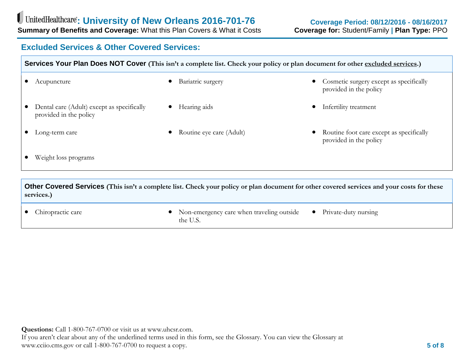# **Excluded Services & Other Covered Services:**

| Services Your Plan Does NOT Cover (This isn't a complete list. Check your policy or plan document for other excluded services.) |                                                  |                                                                    |  |  |
|---------------------------------------------------------------------------------------------------------------------------------|--------------------------------------------------|--------------------------------------------------------------------|--|--|
| Acupuncture                                                                                                                     | Bariatric surgery                                | Cosmetic surgery except as specifically<br>provided in the policy  |  |  |
| Dental care (Adult) except as specifically<br>provided in the policy                                                            | Hearing aids                                     | Infertility treatment                                              |  |  |
| Long-term care                                                                                                                  | Routine eye care (Adult)                         | Routine foot care except as specifically<br>provided in the policy |  |  |
| Weight loss programs                                                                                                            |                                                  |                                                                    |  |  |
| $\bigcap_{i=1}^{n}$                                                                                                             | $\sim$ $\sim$ $\sim$ $\sim$ $\sim$ $\sim$ $\sim$ |                                                                    |  |  |

**Other Covered Services (This isn't a complete list. Check your policy or plan document for other covered services and your costs for these services.)**

- Chiropractic care Non-emergency care when traveling outside the U.S.
	- Private-duty nursing

**Questions:** Call 1-800-767-0700 or visit us at www.uhcsr.com.

If you aren't clear about any of the underlined terms used in this form, see the Glossary. You can view the Glossary at www.cciio.cms.gov or call 1-800-767-0700 to request a copy. **5 of 8**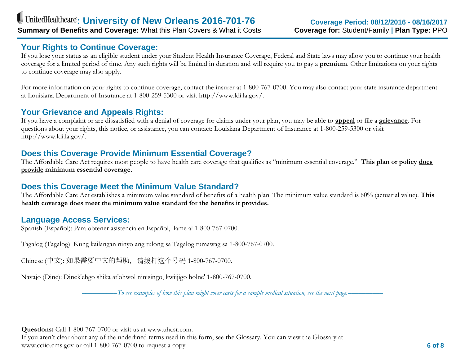# **Your Rights to Continue Coverage:**

If you lose your status as an eligible student under your Student Health Insurance Coverage, Federal and State laws may allow you to continue your health coverage for a limited period of time. Any such rights will be limited in duration and will require you to pay a **premium**. Other limitations on your rights to continue coverage may also apply.

For more information on your rights to continue coverage, contact the insurer at 1-800-767-0700. You may also contact your state insurance department at Louisiana Department of Insurance at 1-800-259-5300 or visit http://www.ldi.la.gov/.

# **Your Grievance and Appeals Rights:**

If you have a complaint or are dissatisfied with a denial of coverage for claims under your plan, you may be able to **appeal** or file a **grievance**. For questions about your rights, this notice, or assistance, you can contact: Louisiana Department of Insurance at 1-800-259-5300 or visit http://www.ldi.la.gov/.

## **Does this Coverage Provide Minimum Essential Coverage?**

The Affordable Care Act requires most people to have health care coverage that qualifies as "minimum essential coverage." **This plan or policy does provide minimum essential coverage.**

# **Does this Coverage Meet the Minimum Value Standard?**

The Affordable Care Act establishes a minimum value standard of benefits of a health plan. The minimum value standard is 60% (actuarial value). **This health coverage does meet the minimum value standard for the benefits it provides.**

### **Language Access Services:**

Spanish (Español): Para obtener asistencia en Español, llame al 1-800-767-0700.

Tagalog (Tagalog): Kung kailangan ninyo ang tulong sa Tagalog tumawag sa 1-800-767-0700.

Chinese (中文): 如果需要中文的帮助,请拨打这个号码 1-800-767-0700.

Navajo (Dine): Dinek'ehgo shika at'ohwol ninisingo, kwiijigo holne' 1-800-767-0700.

*––––––––––To see examples of how this plan might cover costs for a sample medical situation, see the next page.––––––––––*

**Questions:** Call 1-800-767-0700 or visit us at www.uhcsr.com.

If you aren't clear about any of the underlined terms used in this form, see the Glossary. You can view the Glossary at www.cciio.cms.gov or call 1-800-767-0700 to request a copy. **6 of 8**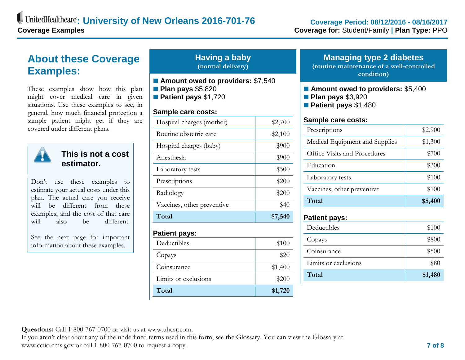# **About these Coverage Examples:**

These examples show how this plan might cover medical care in given situations. Use these examples to see, in general, how much financial protection a sample patient might get if they are covered under different plans.



**This is not a cost estimator.**

Don't use these examples to estimate your actual costs under this plan. The actual care you receive will be different from these examples, and the cost of that care will also be different

See the next page for important information about these examples.

### **Having a baby (normal delivery)**

- **Amount owed to providers:** \$7,540
- **Plan pays** \$5,820
- **Patient pays** \$1,720

#### **Sample care costs:**

| Hospital charges (mother)  | \$2,700 |
|----------------------------|---------|
| Routine obstetric care     | \$2,100 |
| Hospital charges (baby)    | \$900   |
| Anesthesia                 | \$900   |
| Laboratory tests           | \$500   |
| Prescriptions              | \$200   |
| Radiology                  | \$200   |
| Vaccines, other preventive | \$40    |
|                            |         |
| Total                      | \$7,540 |
| <b>Patient pays:</b>       |         |
| Deductibles                | \$100   |
| Copays                     | \$20    |
| Coinsurance                | \$1,400 |
| Limits or exclusions       | \$200   |

#### **Managing type 2 diabetes (routine maintenance of a well-controlled condition)**

- Amount owed to providers: \$5,400
- **Plan pays** \$3,920
- **Patient pays** \$1,480

#### **Sample care costs:**

| Prescriptions                  | \$2,900 |
|--------------------------------|---------|
| Medical Equipment and Supplies | \$1,300 |
| Office Visits and Procedures   | \$700   |
| Education                      | \$300   |
| Laboratory tests               | \$100   |
| Vaccines, other preventive     | \$100   |
| Total                          | \$5,400 |

#### **Patient pays:**

| Limits or exclusions | \$80  |
|----------------------|-------|
| Coinsurance          | \$500 |
| Copays               | \$800 |
| Deductibles          | \$100 |

**Questions:** Call 1-800-767-0700 or visit us at www.uhcsr.com.

If you aren't clear about any of the underlined terms used in this form, see the Glossary. You can view the Glossary at www.cciio.cms.gov or call 1-800-767-0700 to request a copy. **7 of 8**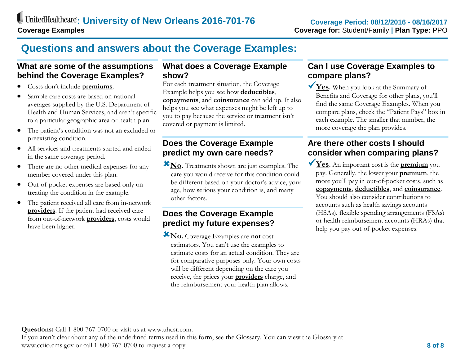# **Questions and answers about the Coverage Examples:**

# **What are some of the assumptions behind the Coverage Examples?**

- Costs don't include **premiums**.
- Sample care costs are based on national averages supplied by the U.S. Department of Health and Human Services, and aren't specific to a particular geographic area or health plan.
- The patient's condition was not an excluded or preexisting condition.
- All services and treatments started and ended in the same coverage period.
- There are no other medical expenses for any member covered under this plan.
- Out-of-pocket expenses are based only on treating the condition in the example.
- The patient received all care from in-network **providers**. If the patient had received care from out-of-network **providers**, costs would have been higher.

# **What does a Coverage Example show?**

For each treatment situation, the Coverage Example helps you see how **deductibles**, **copayments**, and **coinsurance** can add up. It also helps you see what expenses might be left up to you to pay because the service or treatment isn't covered or payment is limited.

# **Does the Coverage Example predict my own care needs?**

**No.** Treatments shown are just examples. The care you would receive for this condition could be different based on your doctor's advice, your age, how serious your condition is, and many other factors.

# **Does the Coverage Example predict my future expenses?**

**No.** Coverage Examples are **not** cost estimators. You can't use the examples to estimate costs for an actual condition. They are for comparative purposes only. Your own costs will be different depending on the care you receive, the prices your **providers** charge, and the reimbursement your health plan allows.

# **Can I use Coverage Examples to compare plans?**

**Yes.** When you look at the Summary of Benefits and Coverage for other plans, you'll find the same Coverage Examples. When you compare plans, check the "Patient Pays" box in each example. The smaller that number, the more coverage the plan provides.

# **Are there other costs I should consider when comparing plans?**

**Yes.** An important cost is the **premium** you pay. Generally, the lower your **premium**, the more you'll pay in out-of-pocket costs, such as **copayments**, **deductibles**, and **coinsurance**. You should also consider contributions to accounts such as health savings accounts (HSAs), flexible spending arrangements (FSAs) or health reimbursement accounts (HRAs) that help you pay out-of-pocket expenses.

#### **Questions:** Call 1-800-767-0700 or visit us at www.uhcsr.com.

If you aren't clear about any of the underlined terms used in this form, see the Glossary. You can view the Glossary at www.cciio.cms.gov or call 1-800-767-0700 to request a copy. **8 of 8**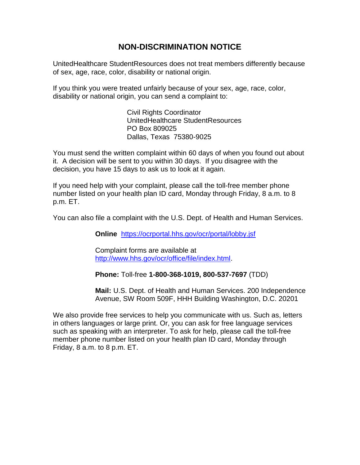# **NON-DISCRIMINATION NOTICE**

UnitedHealthcare StudentResources does not treat members differently because of sex, age, race, color, disability or national origin.

If you think you were treated unfairly because of your sex, age, race, color, disability or national origin, you can send a complaint to:

> Civil Rights Coordinator UnitedHealthcare StudentResources PO Box 809025 Dallas, Texas 75380-9025

You must send the written complaint within 60 days of when you found out about it. A decision will be sent to you within 30 days. If you disagree with the decision, you have 15 days to ask us to look at it again.

If you need help with your complaint, please call the toll-free member phone number listed on your health plan ID card, Monday through Friday, 8 a.m. to 8 p.m. ET.

You can also file a complaint with the U.S. Dept. of Health and Human Services.

**Online** <https://ocrportal.hhs.gov/ocr/portal/lobby.jsf>

Complaint forms are available at [http://www.hhs.gov/ocr/office/file/index.html.](http://www.hhs.gov/ocr/office/file/index.html)

**Phone:** Toll-free **1-800-368-1019, 800-537-7697** (TDD)

**Mail:** U.S. Dept. of Health and Human Services. 200 Independence Avenue, SW Room 509F, HHH Building Washington, D.C. 20201

We also provide free services to help you communicate with us. Such as, letters in others languages or large print. Or, you can ask for free language services such as speaking with an interpreter. To ask for help, please call the toll-free member phone number listed on your health plan ID card, Monday through Friday, 8 a.m. to 8 p.m. ET.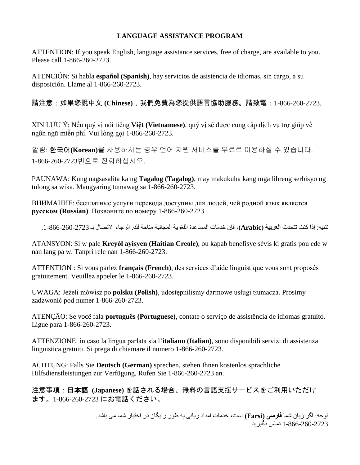#### **LANGUAGE ASSISTANCE PROGRAM**

ATTENTION: If you speak English, language assistance services, free of charge, are available to you. Please call 1-866-260-2723.

ATENCIÓN: Si habla **español (Spanish)**, hay servicios de asistencia de idiomas, sin cargo, a su disposición. Llame al 1-866-260-2723.

請注意:如果您說中文 **(Chinese)**,我們免費為您提供語言協助服務。請致電:1-866-260-2723.

XIN LƯU Ý: Nếu quý vị nói tiếng **Việt (Vietnamese)**, quý vị sẽ được cung cấp dịch vụ trợ giúp về ngôn ngữ miễn phí. Vui lòng gọi 1-866-260-2723.

알림: 한국어**(Korean)**를 사용하시는 경우 언어 지원 서비스를 무료로 이용하실 수 있습니다. 1-866-260-2723번으로 전화하십시오.

PAUNAWA: Kung nagsasalita ka ng **Tagalog (Tagalog)**, may makukuha kang mga libreng serbisyo ng tulong sa wika. Mangyaring tumawag sa 1-866-260-2723.

ВНИМАНИЕ: бесплатные услуги перевода доступны для людей, чей родной язык является **русском (Russian)**. Позвоните по номеру 1-866-260-2723.

تنبيه: إذا كنت تتحدث **العربية )Arabic)**، فإن خدمات المساعدة اللغوية المجانية متاحة لك. الرجاء األتصال بـ .1-866-260-2723

ATANSYON: Si w pale **Kreyòl ayisyen (Haitian Creole)**, ou kapab benefisye sèvis ki gratis pou ede w nan lang pa w. Tanpri rele nan 1-866-260-2723.

ATTENTION : Si vous parlez **français (French)**, des services d'aide linguistique vous sont proposés gratuitement. Veuillez appeler le 1-866-260-2723.

UWAGA: Jeżeli mówisz po **polsku (Polish)**, udostępniliśmy darmowe usługi tłumacza. Prosimy zadzwonić pod numer 1-866-260-2723.

ATENÇÃO: Se você fala **português (Portuguese)**, contate o serviço de assistência de idiomas gratuito. Ligue para 1-866-260-2723.

ATTENZIONE: in caso la lingua parlata sia l'**italiano (Italian)**, sono disponibili servizi di assistenza linguistica gratuiti. Si prega di chiamare il numero 1-866-260-2723.

ACHTUNG: Falls Sie **Deutsch (German)** sprechen, stehen Ihnen kostenlos sprachliche Hilfsdienstleistungen zur Verfügung. Rufen Sie 1-866-260-2723 an.

注意事項:日本語 **(Japanese)** を話される場合、無料の言語支援サービスをご利用いただけ ます。1-866-260-2723 にお電話ください。

> توجه: اگر زبان شما **فارسی )israF )**است، خدمات امداد زبانی به طور رايگان در اختيار شما می باشد. 1-866-260-2723 تماس بگيريد.